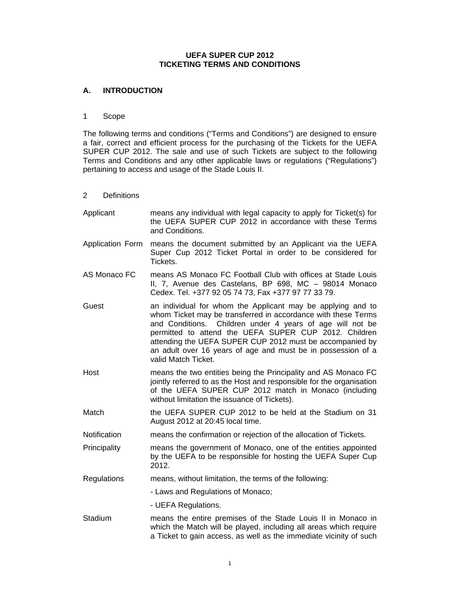# **UEFA SUPER CUP 2012 TICKETING TERMS AND CONDITIONS**

# **A. INTRODUCTION**

# 1 Scope

The following terms and conditions ("Terms and Conditions") are designed to ensure a fair, correct and efficient process for the purchasing of the Tickets for the UEFA SUPER CUP 2012. The sale and use of such Tickets are subject to the following Terms and Conditions and any other applicable laws or regulations ("Regulations") pertaining to access and usage of the Stade Louis II.

## 2 Definitions

| Applicant               | means any individual with legal capacity to apply for Ticket(s) for<br>the UEFA SUPER CUP 2012 in accordance with these Terms<br>and Conditions.                                                                                                                                                                                                                                                      |  |
|-------------------------|-------------------------------------------------------------------------------------------------------------------------------------------------------------------------------------------------------------------------------------------------------------------------------------------------------------------------------------------------------------------------------------------------------|--|
| <b>Application Form</b> | means the document submitted by an Applicant via the UEFA<br>Super Cup 2012 Ticket Portal in order to be considered for<br>Tickets.                                                                                                                                                                                                                                                                   |  |
| AS Monaco FC            | means AS Monaco FC Football Club with offices at Stade Louis<br>II, 7, Avenue des Castelans, BP 698, MC - 98014 Monaco<br>Cedex. Tel. +377 92 05 74 73, Fax +377 97 77 33 79.                                                                                                                                                                                                                         |  |
| Guest                   | an individual for whom the Applicant may be applying and to<br>whom Ticket may be transferred in accordance with these Terms<br>and Conditions. Children under 4 years of age will not be<br>permitted to attend the UEFA SUPER CUP 2012. Children<br>attending the UEFA SUPER CUP 2012 must be accompanied by<br>an adult over 16 years of age and must be in possession of a<br>valid Match Ticket. |  |
| Host                    | means the two entities being the Principality and AS Monaco FC<br>jointly referred to as the Host and responsible for the organisation<br>of the UEFA SUPER CUP 2012 match in Monaco (including<br>without limitation the issuance of Tickets).                                                                                                                                                       |  |
| Match                   | the UEFA SUPER CUP 2012 to be held at the Stadium on 31<br>August 2012 at 20:45 local time.                                                                                                                                                                                                                                                                                                           |  |
| Notification            | means the confirmation or rejection of the allocation of Tickets.                                                                                                                                                                                                                                                                                                                                     |  |
| Principality            | means the government of Monaco, one of the entities appointed<br>by the UEFA to be responsible for hosting the UEFA Super Cup<br>2012.                                                                                                                                                                                                                                                                |  |
| Regulations             | means, without limitation, the terms of the following:                                                                                                                                                                                                                                                                                                                                                |  |
|                         | - Laws and Regulations of Monaco;                                                                                                                                                                                                                                                                                                                                                                     |  |
|                         | - UEFA Regulations.                                                                                                                                                                                                                                                                                                                                                                                   |  |
| Stadium                 | means the entire premises of the Stade Louis II in Monaco in<br>which the Match will be played, including all areas which require<br>a Ticket to gain access, as well as the immediate vicinity of such                                                                                                                                                                                               |  |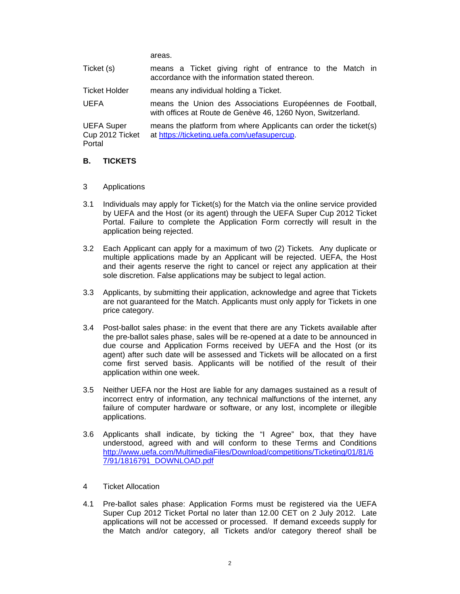areas.

| Ticket (s)                                     | means a Ticket giving right of entrance to the Match in<br>accordance with the information stated thereon.               |  |
|------------------------------------------------|--------------------------------------------------------------------------------------------------------------------------|--|
| <b>Ticket Holder</b>                           | means any individual holding a Ticket.                                                                                   |  |
| <b>UEFA</b>                                    | means the Union des Associations Européennes de Football,<br>with offices at Route de Genève 46, 1260 Nyon, Switzerland. |  |
| <b>UEFA Super</b><br>Cup 2012 Ticket<br>Portal | means the platform from where Applicants can order the ticket(s)<br>at https://ticketing.uefa.com/uefasupercup.          |  |

## **B. TICKETS**

- 3 Applications
- 3.1 Individuals may apply for Ticket(s) for the Match via the online service provided by UEFA and the Host (or its agent) through the UEFA Super Cup 2012 Ticket Portal. Failure to complete the Application Form correctly will result in the application being rejected.
- 3.2 Each Applicant can apply for a maximum of two (2) Tickets. Any duplicate or multiple applications made by an Applicant will be rejected. UEFA, the Host and their agents reserve the right to cancel or reject any application at their sole discretion. False applications may be subject to legal action.
- 3.3 Applicants, by submitting their application, acknowledge and agree that Tickets are not guaranteed for the Match. Applicants must only apply for Tickets in one price category.
- 3.4 Post-ballot sales phase: in the event that there are any Tickets available after the pre-ballot sales phase, sales will be re-opened at a date to be announced in due course and Application Forms received by UEFA and the Host (or its agent) after such date will be assessed and Tickets will be allocated on a first come first served basis. Applicants will be notified of the result of their application within one week.
- 3.5 Neither UEFA nor the Host are liable for any damages sustained as a result of incorrect entry of information, any technical malfunctions of the internet, any failure of computer hardware or software, or any lost, incomplete or illegible applications.
- 3.6 Applicants shall indicate, by ticking the "I Agree" box, that they have understood, agreed with and will conform to these Terms and Conditions http://www.uefa.com/MultimediaFiles/Download/competitions/Ticketing/01/81/6 7/91/1816791\_DOWNLOAD.pdf
- 4 Ticket Allocation
- 4.1 Pre-ballot sales phase: Application Forms must be registered via the UEFA Super Cup 2012 Ticket Portal no later than 12.00 CET on 2 July 2012. Late applications will not be accessed or processed. If demand exceeds supply for the Match and/or category, all Tickets and/or category thereof shall be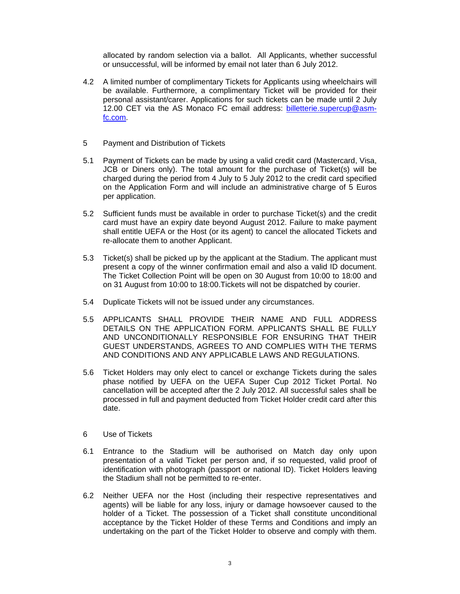allocated by random selection via a ballot. All Applicants, whether successful or unsuccessful, will be informed by email not later than 6 July 2012.

- 4.2 A limited number of complimentary Tickets for Applicants using wheelchairs will be available. Furthermore, a complimentary Ticket will be provided for their personal assistant/carer. Applications for such tickets can be made until 2 July 12.00 CET via the AS Monaco FC email address: billetterie.supercup@asmfc.com.
- 5 Payment and Distribution of Tickets
- 5.1 Payment of Tickets can be made by using a valid credit card (Mastercard, Visa, JCB or Diners only). The total amount for the purchase of Ticket(s) will be charged during the period from 4 July to 5 July 2012 to the credit card specified on the Application Form and will include an administrative charge of 5 Euros per application.
- 5.2 Sufficient funds must be available in order to purchase Ticket(s) and the credit card must have an expiry date beyond August 2012. Failure to make payment shall entitle UEFA or the Host (or its agent) to cancel the allocated Tickets and re-allocate them to another Applicant.
- 5.3 Ticket(s) shall be picked up by the applicant at the Stadium. The applicant must present a copy of the winner confirmation email and also a valid ID document. The Ticket Collection Point will be open on 30 August from 10:00 to 18:00 and on 31 August from 10:00 to 18:00.Tickets will not be dispatched by courier.
- 5.4 Duplicate Tickets will not be issued under any circumstances.
- 5.5 APPLICANTS SHALL PROVIDE THEIR NAME AND FULL ADDRESS DETAILS ON THE APPLICATION FORM. APPLICANTS SHALL BE FULLY AND UNCONDITIONALLY RESPONSIBLE FOR ENSURING THAT THEIR GUEST UNDERSTANDS, AGREES TO AND COMPLIES WITH THE TERMS AND CONDITIONS AND ANY APPLICABLE LAWS AND REGULATIONS.
- 5.6 Ticket Holders may only elect to cancel or exchange Tickets during the sales phase notified by UEFA on the UEFA Super Cup 2012 Ticket Portal. No cancellation will be accepted after the 2 July 2012. All successful sales shall be processed in full and payment deducted from Ticket Holder credit card after this date.
- 6 Use of Tickets
- 6.1 Entrance to the Stadium will be authorised on Match day only upon presentation of a valid Ticket per person and, if so requested, valid proof of identification with photograph (passport or national ID). Ticket Holders leaving the Stadium shall not be permitted to re-enter.
- 6.2 Neither UEFA nor the Host (including their respective representatives and agents) will be liable for any loss, injury or damage howsoever caused to the holder of a Ticket. The possession of a Ticket shall constitute unconditional acceptance by the Ticket Holder of these Terms and Conditions and imply an undertaking on the part of the Ticket Holder to observe and comply with them.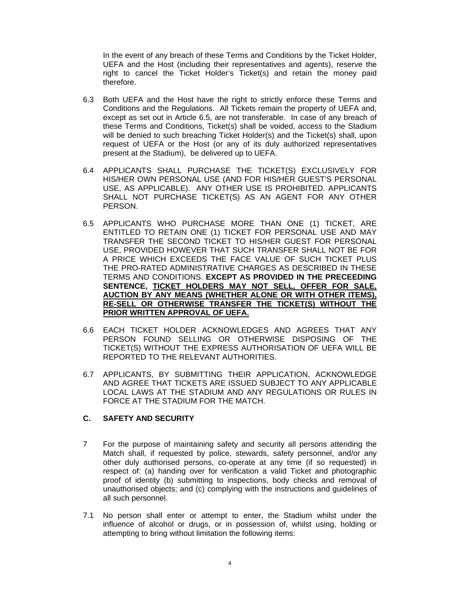In the event of any breach of these Terms and Conditions by the Ticket Holder, UEFA and the Host (including their representatives and agents), reserve the right to cancel the Ticket Holder's Ticket(s) and retain the money paid therefore.

- 6.3 Both UEFA and the Host have the right to strictly enforce these Terms and Conditions and the Regulations. All Tickets remain the property of UEFA and, except as set out in Article 6.5, are not transferable. In case of any breach of these Terms and Conditions, Ticket(s) shall be voided, access to the Stadium will be denied to such breaching Ticket Holder(s) and the Ticket(s) shall, upon request of UEFA or the Host (or any of its duly authorized representatives present at the Stadium), be delivered up to UEFA.
- 6.4 APPLICANTS SHALL PURCHASE THE TICKET(S) EXCLUSIVELY FOR HIS/HER OWN PERSONAL USE (AND FOR HIS/HER GUEST'S PERSONAL USE, AS APPLICABLE). ANY OTHER USE IS PROHIBITED. APPLICANTS SHALL NOT PURCHASE TICKET(S) AS AN AGENT FOR ANY OTHER PERSON.
- 6.5 APPLICANTS WHO PURCHASE MORE THAN ONE (1) TICKET, ARE ENTITLED TO RETAIN ONE (1) TICKET FOR PERSONAL USE AND MAY TRANSFER THE SECOND TICKET TO HIS/HER GUEST FOR PERSONAL USE, PROVIDED HOWEVER THAT SUCH TRANSFER SHALL NOT BE FOR A PRICE WHICH EXCEEDS THE FACE VALUE OF SUCH TICKET PLUS THE PRO-RATED ADMINISTRATIVE CHARGES AS DESCRIBED IN THESE TERMS AND CONDITIONS. **EXCEPT AS PROVIDED IN THE PRECEEDING SENTENCE, TICKET HOLDERS MAY NOT SELL, OFFER FOR SALE, AUCTION BY ANY MEANS (WHETHER ALONE OR WITH OTHER ITEMS), RE-SELL OR OTHERWISE TRANSFER THE TICKET(S) WITHOUT THE PRIOR WRITTEN APPROVAL OF UEFA.**
- 6.6 EACH TICKET HOLDER ACKNOWLEDGES AND AGREES THAT ANY PERSON FOUND SELLING OR OTHERWISE DISPOSING OF THE TICKET(S) WITHOUT THE EXPRESS AUTHORISATION OF UEFA WILL BE REPORTED TO THE RELEVANT AUTHORITIES.
- 6.7 APPLICANTS, BY SUBMITTING THEIR APPLICATION, ACKNOWLEDGE AND AGREE THAT TICKETS ARE ISSUED SUBJECT TO ANY APPLICABLE LOCAL LAWS AT THE STADIUM AND ANY REGULATIONS OR RULES IN FORCE AT THE STADIUM FOR THE MATCH.

# **C. SAFETY AND SECURITY**

- 7 For the purpose of maintaining safety and security all persons attending the Match shall, if requested by police, stewards, safety personnel, and/or any other duly authorised persons, co-operate at any time (if so requested) in respect of: (a) handing over for verification a valid Ticket and photographic proof of identity (b) submitting to inspections, body checks and removal of unauthorised objects; and (c) complying with the instructions and guidelines of all such personnel.
- 7.1 No person shall enter or attempt to enter, the Stadium whilst under the influence of alcohol or drugs, or in possession of, whilst using, holding or attempting to bring without limitation the following items: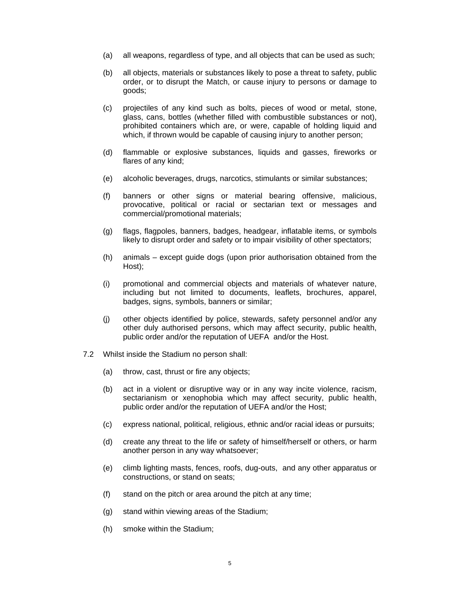- (a) all weapons, regardless of type, and all objects that can be used as such;
- (b) all objects, materials or substances likely to pose a threat to safety, public order, or to disrupt the Match, or cause injury to persons or damage to goods;
- (c) projectiles of any kind such as bolts, pieces of wood or metal, stone, glass, cans, bottles (whether filled with combustible substances or not), prohibited containers which are, or were, capable of holding liquid and which, if thrown would be capable of causing injury to another person;
- (d) flammable or explosive substances, liquids and gasses, fireworks or flares of any kind;
- (e) alcoholic beverages, drugs, narcotics, stimulants or similar substances;
- (f) banners or other signs or material bearing offensive, malicious, provocative, political or racial or sectarian text or messages and commercial/promotional materials;
- (g) flags, flagpoles, banners, badges, headgear, inflatable items, or symbols likely to disrupt order and safety or to impair visibility of other spectators;
- (h) animals except guide dogs (upon prior authorisation obtained from the Host);
- (i) promotional and commercial objects and materials of whatever nature, including but not limited to documents, leaflets, brochures, apparel, badges, signs, symbols, banners or similar;
- (j) other objects identified by police, stewards, safety personnel and/or any other duly authorised persons, which may affect security, public health, public order and/or the reputation of UEFA and/or the Host.
- 7.2 Whilst inside the Stadium no person shall:
	- (a) throw, cast, thrust or fire any objects;
	- (b) act in a violent or disruptive way or in any way incite violence, racism, sectarianism or xenophobia which may affect security, public health, public order and/or the reputation of UEFA and/or the Host;
	- (c) express national, political, religious, ethnic and/or racial ideas or pursuits;
	- (d) create any threat to the life or safety of himself/herself or others, or harm another person in any way whatsoever;
	- (e) climb lighting masts, fences, roofs, dug-outs, and any other apparatus or constructions, or stand on seats;
	- (f) stand on the pitch or area around the pitch at any time;
	- (g) stand within viewing areas of the Stadium;
	- (h) smoke within the Stadium;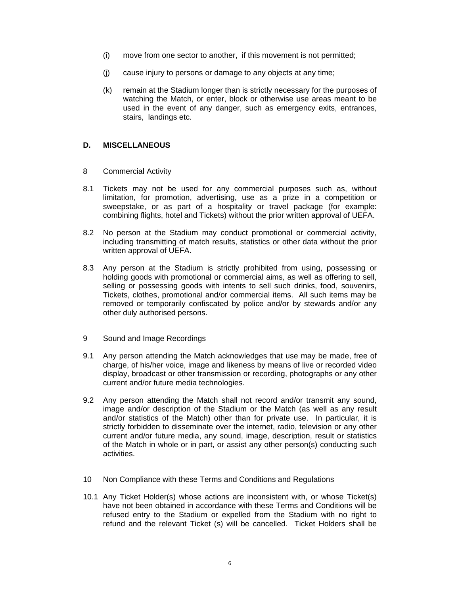- (i) move from one sector to another, if this movement is not permitted;
- (j) cause injury to persons or damage to any objects at any time;
- (k) remain at the Stadium longer than is strictly necessary for the purposes of watching the Match, or enter, block or otherwise use areas meant to be used in the event of any danger, such as emergency exits, entrances, stairs, landings etc.

## **D. MISCELLANEOUS**

- 8 Commercial Activity
- 8.1 Tickets may not be used for any commercial purposes such as, without limitation, for promotion, advertising, use as a prize in a competition or sweepstake, or as part of a hospitality or travel package (for example: combining flights, hotel and Tickets) without the prior written approval of UEFA.
- 8.2 No person at the Stadium may conduct promotional or commercial activity, including transmitting of match results, statistics or other data without the prior written approval of UEFA.
- 8.3 Any person at the Stadium is strictly prohibited from using, possessing or holding goods with promotional or commercial aims, as well as offering to sell, selling or possessing goods with intents to sell such drinks, food, souvenirs, Tickets, clothes, promotional and/or commercial items. All such items may be removed or temporarily confiscated by police and/or by stewards and/or any other duly authorised persons.
- 9 Sound and Image Recordings
- 9.1 Any person attending the Match acknowledges that use may be made, free of charge, of his/her voice, image and likeness by means of live or recorded video display, broadcast or other transmission or recording, photographs or any other current and/or future media technologies.
- 9.2 Any person attending the Match shall not record and/or transmit any sound, image and/or description of the Stadium or the Match (as well as any result and/or statistics of the Match) other than for private use. In particular, it is strictly forbidden to disseminate over the internet, radio, television or any other current and/or future media, any sound, image, description, result or statistics of the Match in whole or in part, or assist any other person(s) conducting such activities.
- 10 Non Compliance with these Terms and Conditions and Regulations
- 10.1 Any Ticket Holder(s) whose actions are inconsistent with, or whose Ticket(s) have not been obtained in accordance with these Terms and Conditions will be refused entry to the Stadium or expelled from the Stadium with no right to refund and the relevant Ticket (s) will be cancelled. Ticket Holders shall be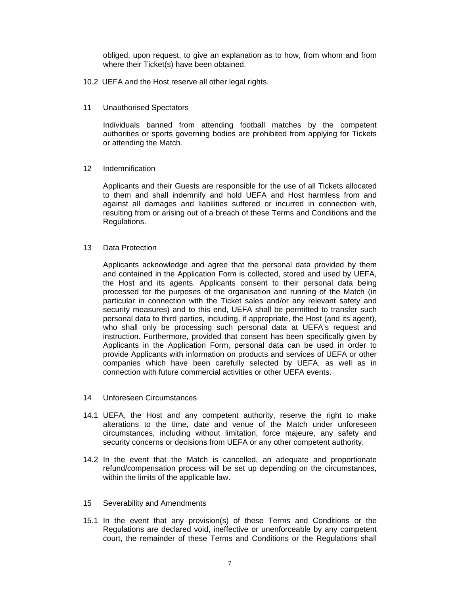obliged, upon request, to give an explanation as to how, from whom and from where their Ticket(s) have been obtained.

- 10.2 UEFA and the Host reserve all other legal rights.
- 11 Unauthorised Spectators

Individuals banned from attending football matches by the competent authorities or sports governing bodies are prohibited from applying for Tickets or attending the Match.

12 Indemnification

Applicants and their Guests are responsible for the use of all Tickets allocated to them and shall indemnify and hold UEFA and Host harmless from and against all damages and liabilities suffered or incurred in connection with, resulting from or arising out of a breach of these Terms and Conditions and the Regulations.

13 Data Protection

Applicants acknowledge and agree that the personal data provided by them and contained in the Application Form is collected, stored and used by UEFA, the Host and its agents. Applicants consent to their personal data being processed for the purposes of the organisation and running of the Match (in particular in connection with the Ticket sales and/or any relevant safety and security measures) and to this end, UEFA shall be permitted to transfer such personal data to third parties, including, if appropriate, the Host (and its agent), who shall only be processing such personal data at UEFA's request and instruction. Furthermore, provided that consent has been specifically given by Applicants in the Application Form, personal data can be used in order to provide Applicants with information on products and services of UEFA or other companies which have been carefully selected by UEFA, as well as in connection with future commercial activities or other UEFA events.

- 14 Unforeseen Circumstances
- 14.1 UEFA, the Host and any competent authority, reserve the right to make alterations to the time, date and venue of the Match under unforeseen circumstances, including without limitation, force majeure, any safety and security concerns or decisions from UEFA or any other competent authority.
- 14.2 In the event that the Match is cancelled, an adequate and proportionate refund/compensation process will be set up depending on the circumstances, within the limits of the applicable law.
- 15 Severability and Amendments
- 15.1 In the event that any provision(s) of these Terms and Conditions or the Regulations are declared void, ineffective or unenforceable by any competent court, the remainder of these Terms and Conditions or the Regulations shall